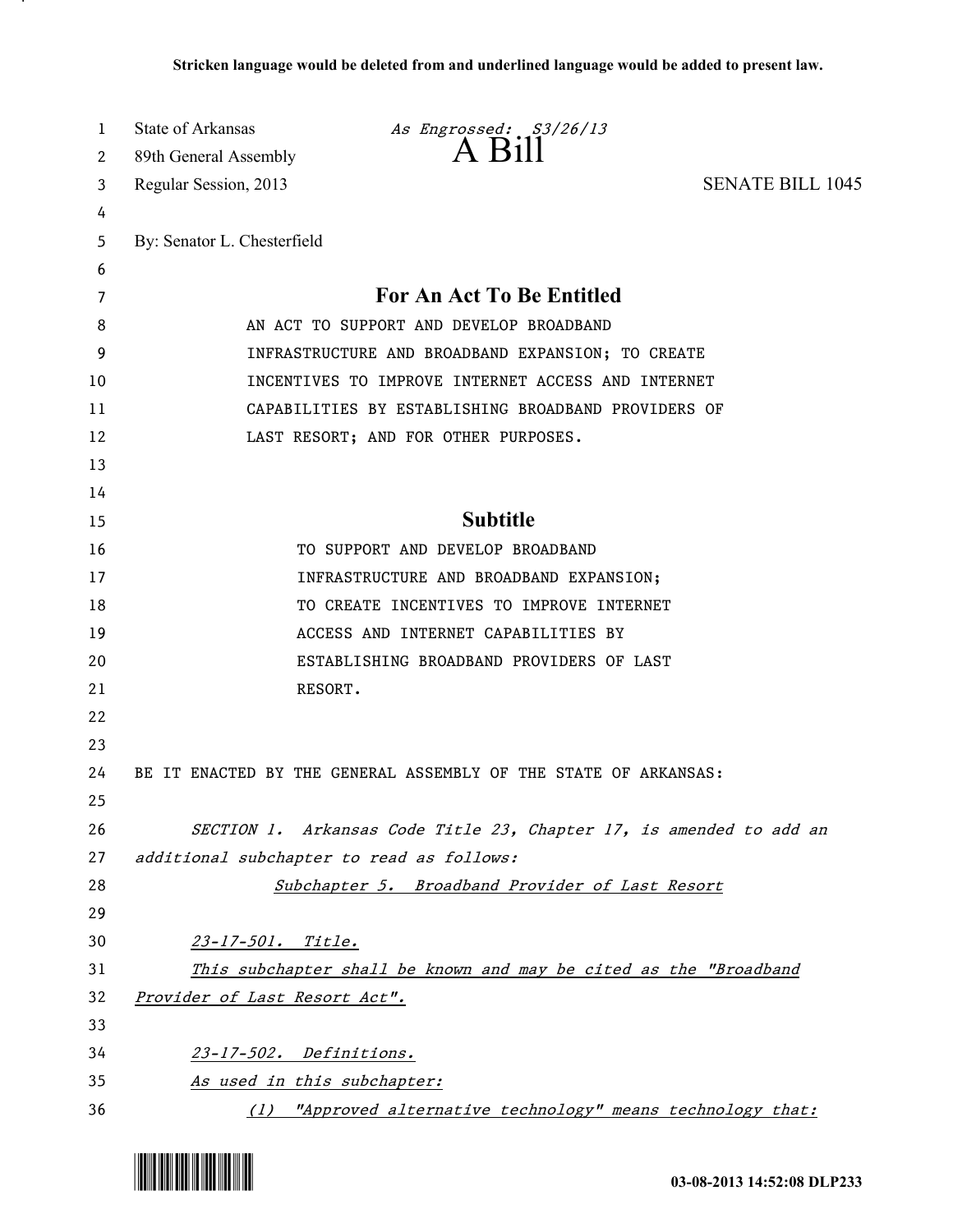| 1        | <b>State of Arkansas</b>                  | As Engrossed: S3/26/13<br>A Bill                                                                          |                         |
|----------|-------------------------------------------|-----------------------------------------------------------------------------------------------------------|-------------------------|
| 2        | 89th General Assembly                     |                                                                                                           |                         |
| 3        | Regular Session, 2013                     |                                                                                                           | <b>SENATE BILL 1045</b> |
| 4        |                                           |                                                                                                           |                         |
| 5        | By: Senator L. Chesterfield               |                                                                                                           |                         |
| 6        |                                           |                                                                                                           |                         |
| 7        |                                           | For An Act To Be Entitled                                                                                 |                         |
| 8        |                                           | AN ACT TO SUPPORT AND DEVELOP BROADBAND                                                                   |                         |
| 9        |                                           | INFRASTRUCTURE AND BROADBAND EXPANSION; TO CREATE                                                         |                         |
| 10       |                                           | INCENTIVES TO IMPROVE INTERNET ACCESS AND INTERNET<br>CAPABILITIES BY ESTABLISHING BROADBAND PROVIDERS OF |                         |
| 11<br>12 |                                           |                                                                                                           |                         |
| 13       |                                           | LAST RESORT; AND FOR OTHER PURPOSES.                                                                      |                         |
| 14       |                                           |                                                                                                           |                         |
| 15       |                                           | <b>Subtitle</b>                                                                                           |                         |
| 16       |                                           | TO SUPPORT AND DEVELOP BROADBAND                                                                          |                         |
| 17       |                                           | INFRASTRUCTURE AND BROADBAND EXPANSION;                                                                   |                         |
| 18       |                                           | TO CREATE INCENTIVES TO IMPROVE INTERNET                                                                  |                         |
| 19       |                                           | ACCESS AND INTERNET CAPABILITIES BY                                                                       |                         |
| 20       |                                           | ESTABLISHING BROADBAND PROVIDERS OF LAST                                                                  |                         |
| 21       | RESORT.                                   |                                                                                                           |                         |
| 22       |                                           |                                                                                                           |                         |
| 23       |                                           |                                                                                                           |                         |
| 24       |                                           | BE IT ENACTED BY THE GENERAL ASSEMBLY OF THE STATE OF ARKANSAS:                                           |                         |
| 25       |                                           |                                                                                                           |                         |
| 26       |                                           | SECTION 1. Arkansas Code Title 23, Chapter 17, is amended to add an                                       |                         |
| 27       | additional subchapter to read as follows: |                                                                                                           |                         |
| 28       |                                           | Subchapter 5. Broadband Provider of Last Resort                                                           |                         |
| 29       |                                           |                                                                                                           |                         |
| 30       | 23-17-501. Title.                         |                                                                                                           |                         |
| 31       |                                           | This subchapter shall be known and may be cited as the "Broadband                                         |                         |
| 32       | Provider of Last Resort Act".             |                                                                                                           |                         |
| 33       |                                           |                                                                                                           |                         |
| 34       | 23-17-502. Definitions.                   |                                                                                                           |                         |
| 35       | As used in this subchapter:               |                                                                                                           |                         |
| 36       |                                           | (1) "Approved alternative technology" means technology that:                                              |                         |



.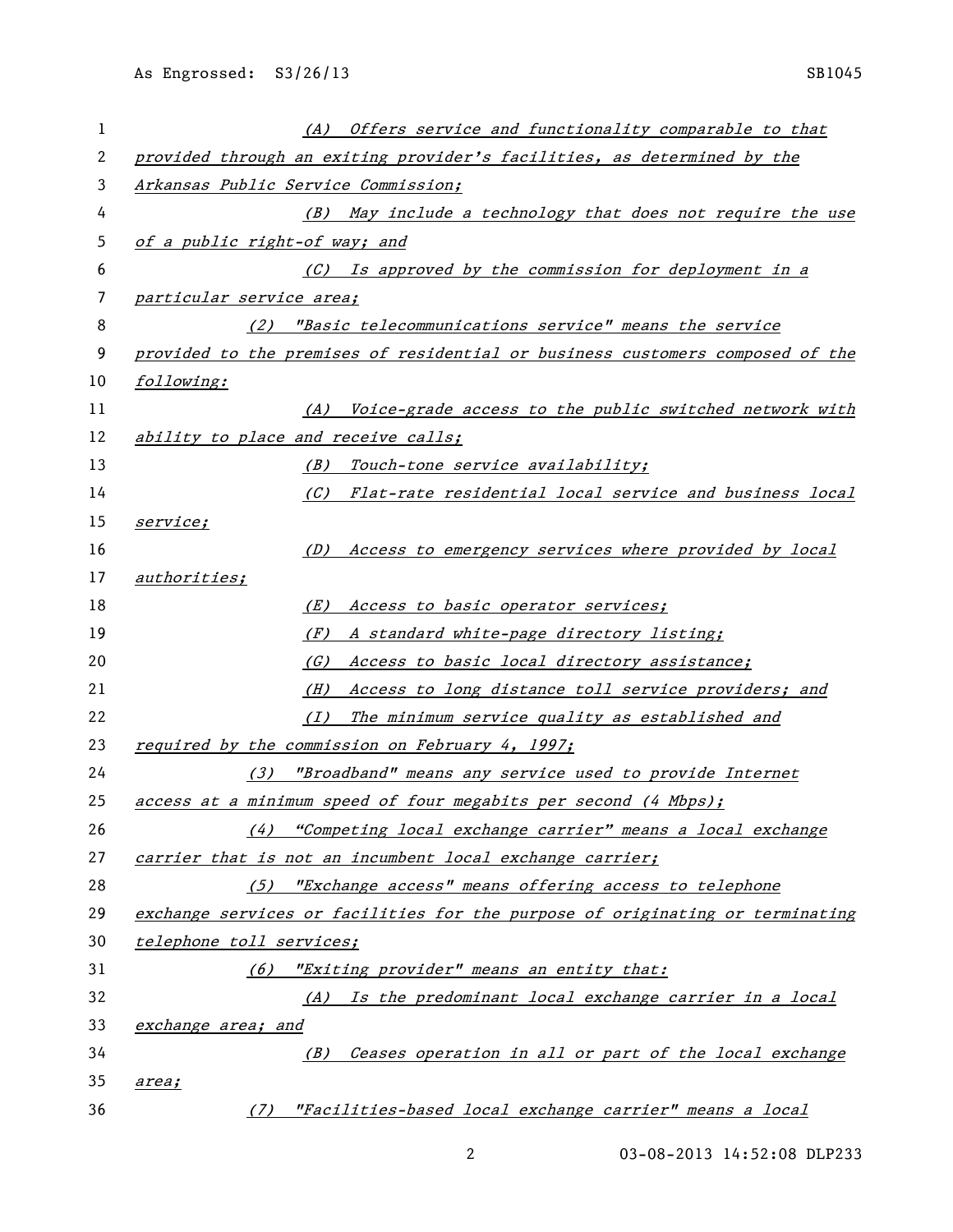| 1  | (A) Offers service and functionality comparable to that                       |
|----|-------------------------------------------------------------------------------|
| 2  | provided through an exiting provider's facilities, as determined by the       |
| 3  | Arkansas Public Service Commission;                                           |
| 4  | (B) May include a technology that does not require the use                    |
| 5  | of a public right-of way; and                                                 |
| 6  | (C) Is approved by the commission for deployment in a                         |
| 7  | particular service area;                                                      |
| 8  | (2) "Basic telecommunications service" means the service                      |
| 9  | provided to the premises of residential or business customers composed of the |
| 10 | following:                                                                    |
| 11 | Voice-grade access to the public switched network with<br>(A)                 |
| 12 | ability to place and receive calls;                                           |
| 13 | Touch-tone service availability;<br>(B)                                       |
| 14 | (C) Flat-rate residential local service and business local                    |
| 15 | <i>service;</i>                                                               |
| 16 | Access to emergency services where provided by local<br>(D)                   |
| 17 | authorities;                                                                  |
| 18 | Access to basic operator services;<br>(E)                                     |
| 19 | A standard white-page directory listing;<br>(F)                               |
| 20 | Access to basic local directory assistance;<br>(G)                            |
| 21 | Access to long distance toll service providers; and<br>(H)                    |
| 22 | The minimum service quality as established and<br>(I)                         |
| 23 | required by the commission on February 4, 1997;                               |
| 24 | (3) "Broadband" means any service used to provide Internet                    |
| 25 | access at a minimum speed of four megabits per second (4 Mbps);               |
| 26 | (4) "Competing local exchange carrier" means a local exchange                 |
| 27 | carrier that is not an incumbent local exchange carrier;                      |
| 28 | (5) "Exchange access" means offering access to telephone                      |
| 29 | exchange services or facilities for the purpose of originating or terminating |
| 30 | telephone toll services;                                                      |
| 31 | "Exiting provider" means an entity that:<br>(6)                               |
| 32 | (A) Is the predominant local exchange carrier in a local                      |
| 33 | exchange area; and                                                            |
| 34 | Ceases operation in all or part of the local exchange<br>(B)                  |
| 35 | area;                                                                         |
| 36 | "Facilities-based local exchange carrier" means a local<br>(7)                |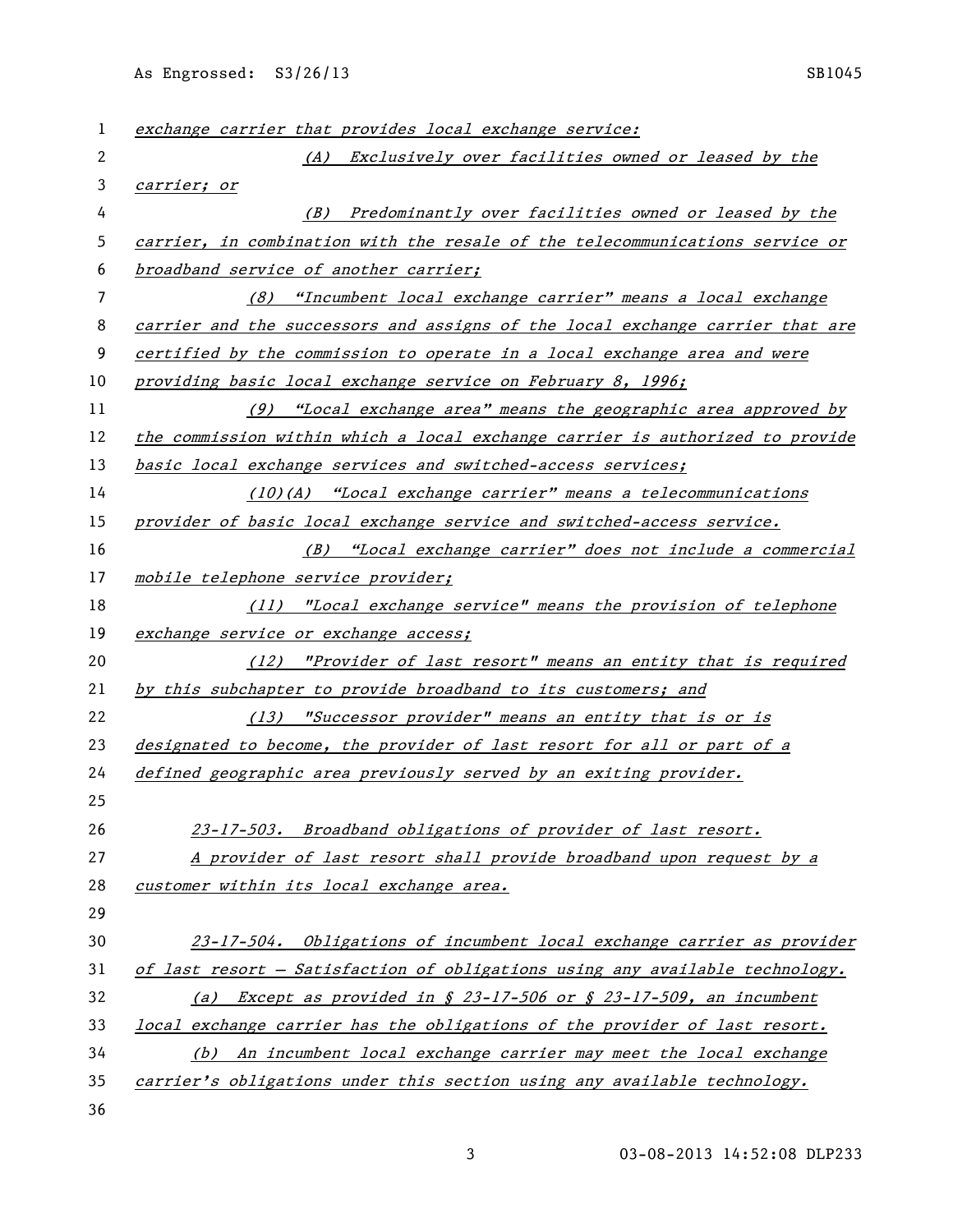As Engrossed: S3/26/13 SB1045

| 1  | exchange carrier that provides local exchange service:                        |
|----|-------------------------------------------------------------------------------|
| 2  | (A) Exclusively over facilities owned or leased by the                        |
| 3  | carrier; or                                                                   |
| 4  | (B) Predominantly over facilities owned or leased by the                      |
| 5  | carrier, in combination with the resale of the telecommunications service or  |
| 6  | broadband service of another carrier;                                         |
| 7  | (8) "Incumbent local exchange carrier" means a local exchange                 |
| 8  | carrier and the successors and assigns of the local exchange carrier that are |
| 9  | certified by the commission to operate in a local exchange area and were      |
| 10 | providing basic local exchange service on February 8, 1996;                   |
| 11 | $(9)$ "Local exchange area" means the geographic area approved by             |
| 12 | the commission within which a local exchange carrier is authorized to provide |
| 13 | basic local exchange services and switched-access services;                   |
| 14 | $(10)(A)$ "Local exchange carrier" means a telecommunications                 |
| 15 | provider of basic local exchange service and switched-access service.         |
| 16 | (B) "Local exchange carrier" does not include a commercial                    |
| 17 | mobile telephone service provider;                                            |
| 18 | (11) "Local exchange service" means the provision of telephone                |
| 19 | exchange service or exchange access;                                          |
| 20 | (12) "Provider of last resort" means an entity that is required               |
| 21 | by this subchapter to provide broadband to its customers; and                 |
| 22 | (13) "Successor provider" means an entity that is or is                       |
| 23 | designated to become, the provider of last resort for all or part of a        |
| 24 | defined geographic area previously served by an exiting provider.             |
| 25 |                                                                               |
| 26 | 23-17-503. Broadband obligations of provider of last resort.                  |
| 27 | A provider of last resort shall provide broadband upon request by a           |
| 28 | customer within its local exchange area.                                      |
| 29 |                                                                               |
| 30 | 23-17-504. Obligations of incumbent local exchange carrier as provider        |
| 31 | of last resort - Satisfaction of obligations using any available technology.  |
| 32 | Except as provided in § 23-17-506 or § 23-17-509, an incumbent<br>(a)         |
| 33 | local exchange carrier has the obligations of the provider of last resort.    |
| 34 | An incumbent local exchange carrier may meet the local exchange<br>(b)        |
| 35 | carrier's obligations under this section using any available technology.      |
| 36 |                                                                               |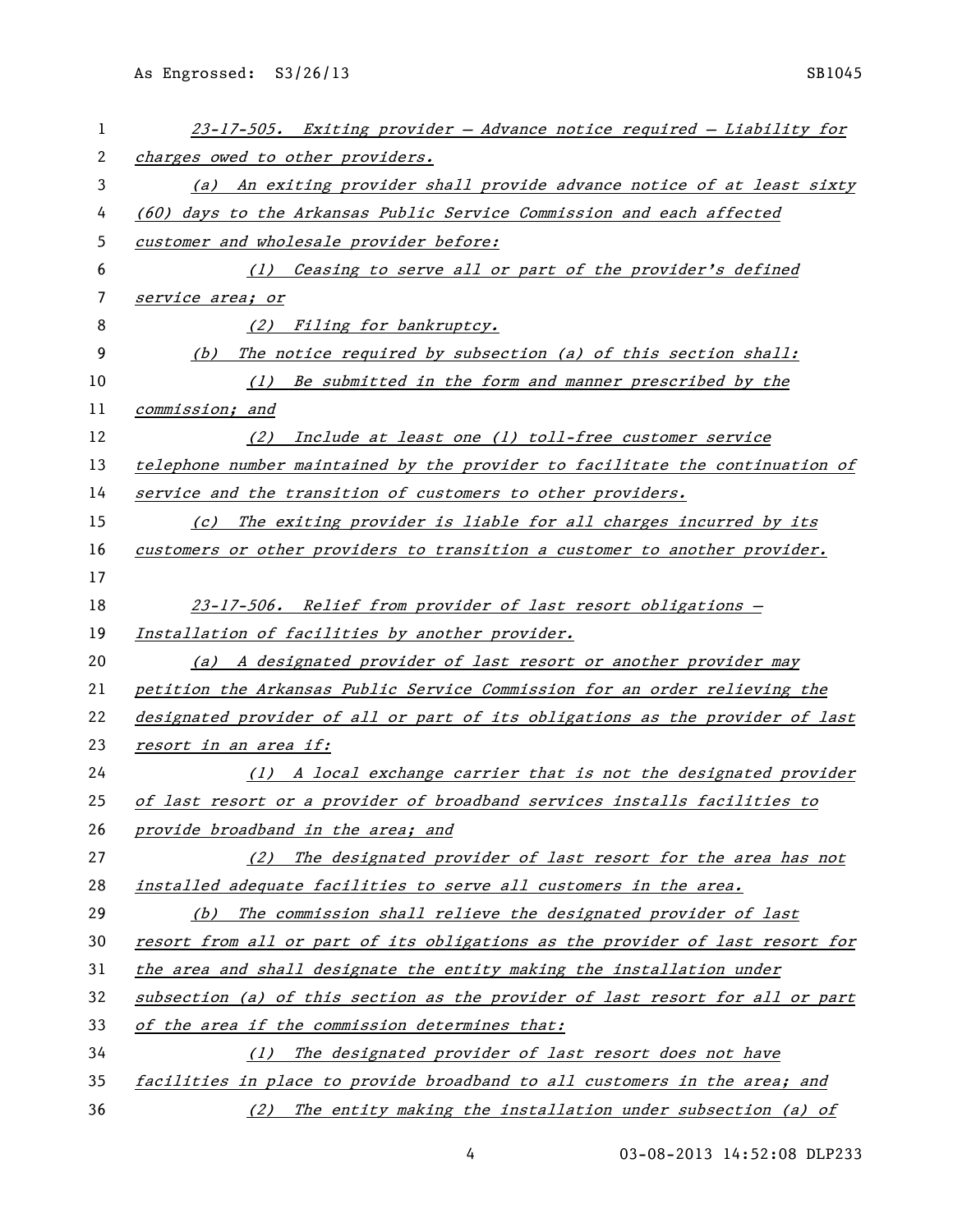| 1  | 23-17-505. Exiting provider - Advance notice required - Liability for               |
|----|-------------------------------------------------------------------------------------|
| 2  | charges owed to other providers.                                                    |
| 3  | An exiting provider shall provide advance notice of at least sixty<br>(a)           |
| 4  | (60) days to the Arkansas Public Service Commission and each affected               |
| 5  | customer and wholesale provider before:                                             |
| 6  | (1) Ceasing to serve all or part of the provider's defined                          |
| 7  | service area; or                                                                    |
| 8  | (2) Filing for bankruptcy.                                                          |
| 9  | The notice required by subsection (a) of this section shall:<br>(b)                 |
| 10 | Be submitted in the form and manner prescribed by the<br>(1)                        |
| 11 | commission; and                                                                     |
| 12 | Include at least one (1) toll-free customer service<br>(2)                          |
| 13 | telephone number maintained by the provider to facilitate the continuation of       |
| 14 | service and the transition of customers to other providers.                         |
| 15 | The exiting provider is liable for all charges incurred by its<br>$\left( c\right)$ |
| 16 | customers or other providers to transition a customer to another provider.          |
| 17 |                                                                                     |
| 18 | 23-17-506. Relief from provider of last resort obligations -                        |
| 19 | Installation of facilities by another provider.                                     |
| 20 | (a) A designated provider of last resort or another provider may                    |
| 21 | petition the Arkansas Public Service Commission for an order relieving the          |
| 22 | designated provider of all or part of its obligations as the provider of last       |
| 23 | resort in an area if:                                                               |
| 24 | (1) A local exchange carrier that is not the designated provider                    |
| 25 | of last resort or a provider of broadband services installs facilities to           |
| 26 | provide broadband in the area; and                                                  |
| 27 | The designated provider of last resort for the area has not<br>(2)                  |
| 28 | installed adequate facilities to serve all customers in the area.                   |
| 29 | The commission shall relieve the designated provider of last<br>(b)                 |
| 30 | resort from all or part of its obligations as the provider of last resort for       |
| 31 | the area and shall designate the entity making the installation under               |
| 32 | subsection (a) of this section as the provider of last resort for all or part       |
| 33 | of the area if the commission determines that:                                      |
| 34 | The designated provider of last resort does not have<br>(1)                         |
| 35 | facilities in place to provide broadband to all customers in the area; and          |
| 36 | The entity making the installation under subsection (a) of<br>(2)                   |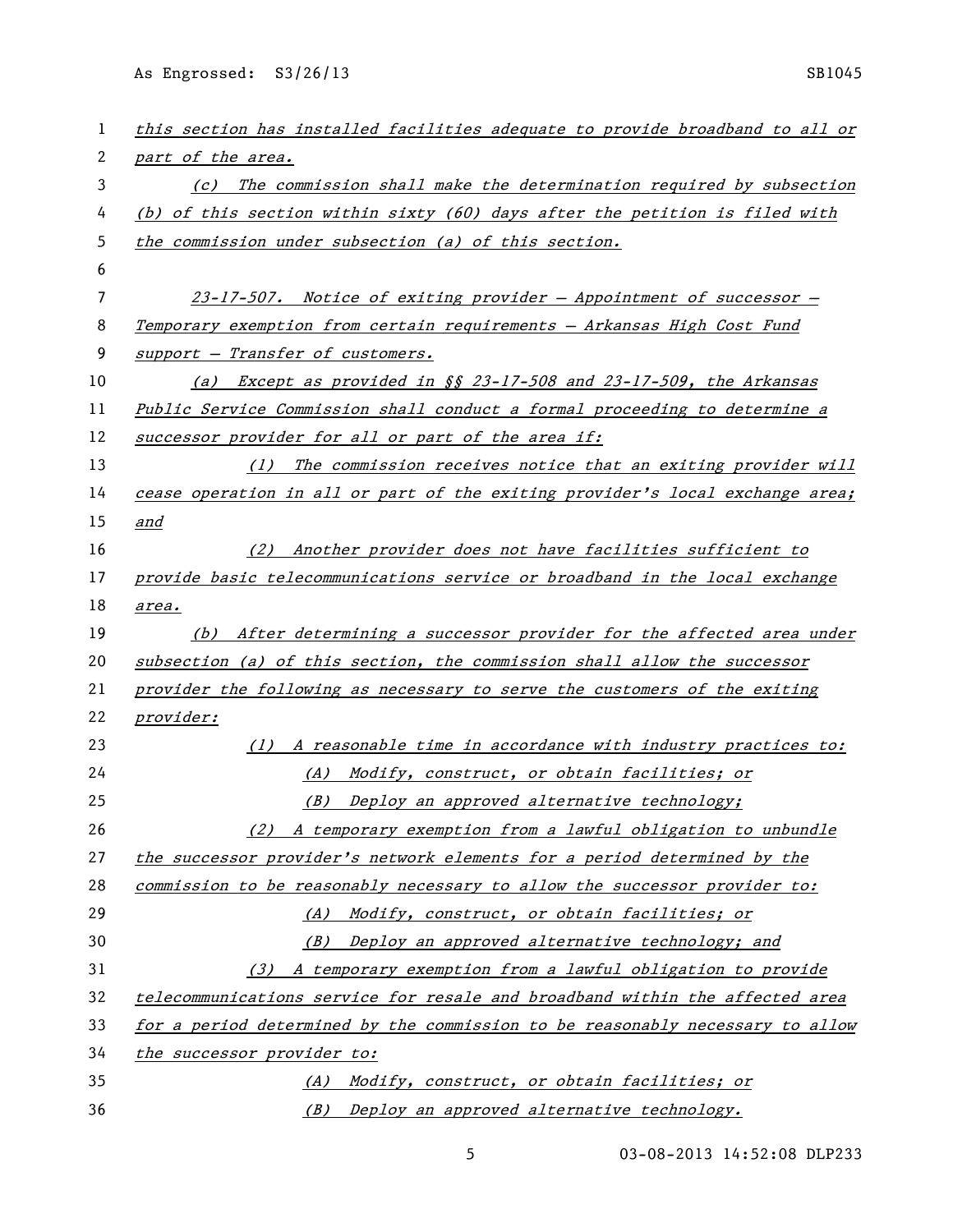As Engrossed: S3/26/13 SB1045

| 1  | this section has installed facilities adequate to provide broadband to all or |
|----|-------------------------------------------------------------------------------|
| 2  | part of the area.                                                             |
| 3  | (c) The commission shall make the determination required by subsection        |
| 4  | (b) of this section within sixty (60) days after the petition is filed with   |
| 5  | the commission under subsection (a) of this section.                          |
| 6  |                                                                               |
| 7  | $23-17-507$ . Notice of exiting provider - Appointment of successor -         |
| 8  | Temporary exemption from certain requirements - Arkansas High Cost Fund       |
| 9  | support - Transfer of customers.                                              |
| 10 | (a) Except as provided in §§ 23-17-508 and 23-17-509, the Arkansas            |
| 11 | Public Service Commission shall conduct a formal proceeding to determine a    |
| 12 | successor provider for all or part of the area if:                            |
| 13 | (1) The commission receives notice that an exiting provider will              |
| 14 | cease operation in all or part of the exiting provider's local exchange area; |
| 15 | and                                                                           |
| 16 | (2) Another provider does not have facilities sufficient to                   |
| 17 | provide basic telecommunications service or broadband in the local exchange   |
| 18 | area.                                                                         |
| 19 | (b) After determining a successor provider for the affected area under        |
| 20 | subsection (a) of this section, the commission shall allow the successor      |
| 21 | provider the following as necessary to serve the customers of the exiting     |
| 22 | provider:                                                                     |
| 23 | (1) A reasonable time in accordance with industry practices to:               |
| 24 | (A) Modify, construct, or obtain facilities; or                               |
| 25 | (B) Deploy an approved alternative technology;                                |
| 26 | (2) A temporary exemption from a lawful obligation to unbundle                |
| 27 | the successor provider's network elements for a period determined by the      |
| 28 | commission to be reasonably necessary to allow the successor provider to:     |
| 29 | (A) Modify, construct, or obtain facilities; or                               |
| 30 | (B) Deploy an approved alternative technology; and                            |
| 31 | (3) A temporary exemption from a lawful obligation to provide                 |
| 32 | telecommunications service for resale and broadband within the affected area  |
| 33 | for a period determined by the commission to be reasonably necessary to allow |
| 34 | the successor provider to:                                                    |
| 35 | (A) Modify, construct, or obtain facilities; or                               |
| 36 | (B) Deploy an approved alternative technology.                                |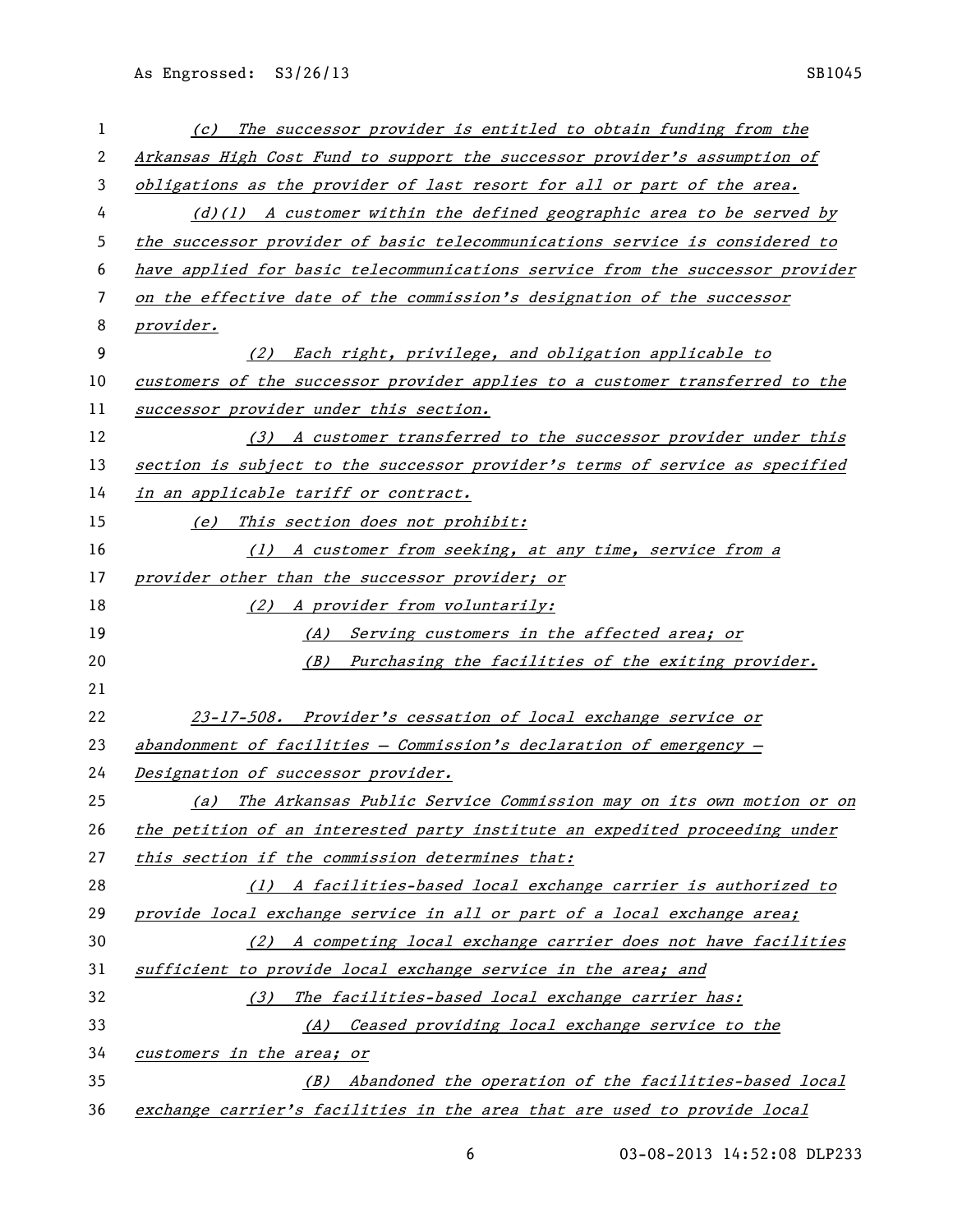As Engrossed: S3/26/13 SB1045

| 1  | The successor provider is entitled to obtain funding from the<br>$\left( c\right)$ |
|----|------------------------------------------------------------------------------------|
| 2  | Arkansas High Cost Fund to support the successor provider's assumption of          |
| 3  | obligations as the provider of last resort for all or part of the area.            |
| 4  | $(d)(1)$ A customer within the defined geographic area to be served by             |
| 5  | the successor provider of basic telecommunications service is considered to        |
| 6  | have applied for basic telecommunications service from the successor provider      |
| 7  | on the effective date of the commission's designation of the successor             |
| 8  | provider.                                                                          |
| 9  | (2) Each right, privilege, and obligation applicable to                            |
| 10 | customers of the successor provider applies to a customer transferred to the       |
| 11 | successor provider under this section.                                             |
| 12 | (3) A customer transferred to the successor provider under this                    |
| 13 | section is subject to the successor provider's terms of service as specified       |
| 14 | in an applicable tariff or contract.                                               |
| 15 | This section does not prohibit:<br>(e)                                             |
| 16 | (1) A customer from seeking, at any time, service from a                           |
| 17 | provider other than the successor provider; or                                     |
| 18 | (2) A provider from voluntarily:                                                   |
| 19 | Serving customers in the affected area; or<br>(A)                                  |
| 20 | (B) Purchasing the facilities of the exiting provider.                             |
| 21 |                                                                                    |
| 22 | 23-17-508. Provider's cessation of local exchange service or                       |
| 23 | abandonment of facilities $-$ Commission's declaration of emergency $-$            |
| 24 | Designation of successor provider.                                                 |
| 25 | The Arkansas Public Service Commission may on its own motion or on<br>(a)          |
| 26 | the petition of an interested party institute an expedited proceeding under        |
| 27 | this section if the commission determines that:                                    |
| 28 | (1) A facilities-based local exchange carrier is authorized to                     |
| 29 | provide local exchange service in all or part of a local exchange area;            |
| 30 | (2) A competing local exchange carrier does not have facilities                    |
| 31 | sufficient to provide local exchange service in the area; and                      |
| 32 | (3) The facilities-based local exchange carrier has:                               |
| 33 | (A) Ceased providing local exchange service to the                                 |
| 34 | customers in the area; or                                                          |
| 35 | (B) Abandoned the operation of the facilities-based local                          |
| 36 | exchange carrier's facilities in the area that are used to provide local           |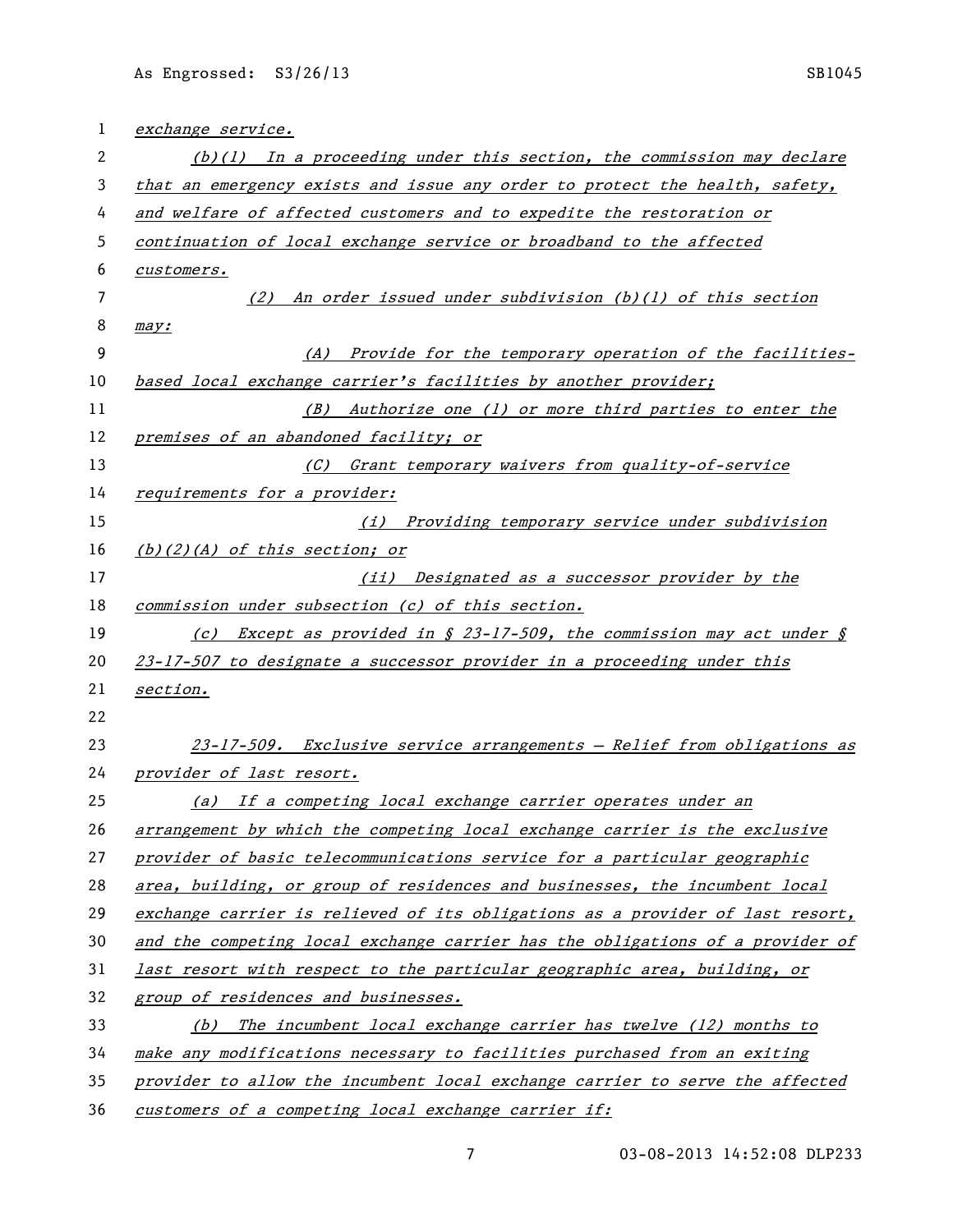| 1  | exchange service.                                                               |
|----|---------------------------------------------------------------------------------|
| 2  | $(b)(1)$ In a proceeding under this section, the commission may declare         |
| 3  | that an emergency exists and issue any order to protect the health, safety,     |
| 4  | and welfare of affected customers and to expedite the restoration or            |
| 5  | continuation of local exchange service or broadband to the affected             |
| 6  | customers.                                                                      |
| 7  | (2) An order issued under subdivision $(b)(1)$ of this section                  |
| 8  | may:                                                                            |
| 9  | Provide for the temporary operation of the facilities-<br>(A)                   |
| 10 | based local exchange carrier's facilities by another provider;                  |
| 11 | (B) Authorize one (1) or more third parties to enter the                        |
| 12 | premises of an abandoned facility; or                                           |
| 13 | (C) Grant temporary waivers from quality-of-service                             |
| 14 | requirements for a provider:                                                    |
| 15 | (i) Providing temporary service under subdivision                               |
| 16 | $(b)(2)(A)$ of this section; or                                                 |
| 17 | (ii) Designated as a successor provider by the                                  |
| 18 | commission under subsection (c) of this section.                                |
| 19 | <i>Except as provided in § 23-17-509, the commission may act under §</i><br>(c) |
| 20 | 23-17-507 to designate a successor provider in a proceeding under this          |
| 21 | <u>section.</u>                                                                 |
| 22 |                                                                                 |
| 23 | 23-17-509. Exclusive service arrangements - Relief from obligations as          |
| 24 | provider of last resort.                                                        |
| 25 | (a) If a competing local exchange carrier operates under an                     |
| 26 | arrangement by which the competing local exchange carrier is the exclusive      |
| 27 | provider of basic telecommunications service for a particular geographic        |
| 28 | area, building, or group of residences and businesses, the incumbent local      |
| 29 | exchange carrier is relieved of its obligations as a provider of last resort,   |
| 30 | and the competing local exchange carrier has the obligations of a provider of   |
| 31 | last resort with respect to the particular geographic area, building, or        |
| 32 | group of residences and businesses.                                             |
| 33 | (b) The incumbent local exchange carrier has twelve (12) months to              |
| 34 | make any modifications necessary to facilities purchased from an exiting        |
| 35 | provider to allow the incumbent local exchange carrier to serve the affected    |
| 36 | customers of a competing local exchange carrier if:                             |